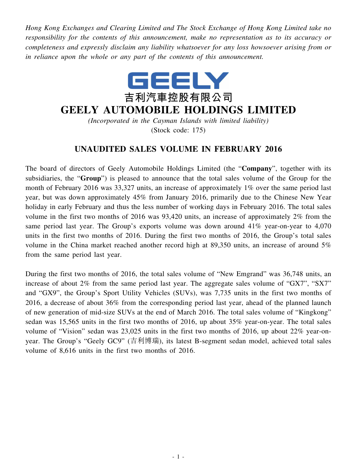*Hong Kong Exchanges and Clearing Limited and The Stock Exchange of Hong Kong Limited take no responsibility for the contents of this announcement, make no representation as to its accuracy or completeness and expressly disclaim any liability whatsoever for any loss howsoever arising from or in reliance upon the whole or any part of the contents of this announcement.*



## **GEELY AUTOMOBILE HOLDINGS LIMITED**

*(Incorporated in the Cayman Islands with limited liability)* (Stock code: 175)

## **UNAUDITED SALES VOLUME IN FEBRUARY 2016**

The board of directors of Geely Automobile Holdings Limited (the "**Company**", together with its subsidiaries, the "**Group**") is pleased to announce that the total sales volume of the Group for the month of February 2016 was 33,327 units, an increase of approximately 1% over the same period last year, but was down approximately 45% from January 2016, primarily due to the Chinese New Year holiday in early February and thus the less number of working days in February 2016. The total sales volume in the first two months of 2016 was 93,420 units, an increase of approximately 2% from the same period last year. The Group's exports volume was down around 41% year-on-year to 4,070 units in the first two months of 2016. During the first two months of 2016, the Group's total sales volume in the China market reached another record high at 89,350 units, an increase of around 5% from the same period last year.

During the first two months of 2016, the total sales volume of "New Emgrand" was 36,748 units, an increase of about 2% from the same period last year. The aggregate sales volume of "GX7", "SX7" and "GX9", the Group's Sport Utility Vehicles (SUVs), was 7,735 units in the first two months of 2016, a decrease of about 36% from the corresponding period last year, ahead of the planned launch of new generation of mid-size SUVs at the end of March 2016. The total sales volume of "Kingkong" sedan was 15,565 units in the first two months of 2016, up about 35% year-on-year. The total sales volume of "Vision" sedan was 23,025 units in the first two months of 2016, up about 22% year-onyear. The Group's "Geely GC9" (吉利博瑞), its latest B-segment sedan model, achieved total sales volume of 8,616 units in the first two months of 2016.